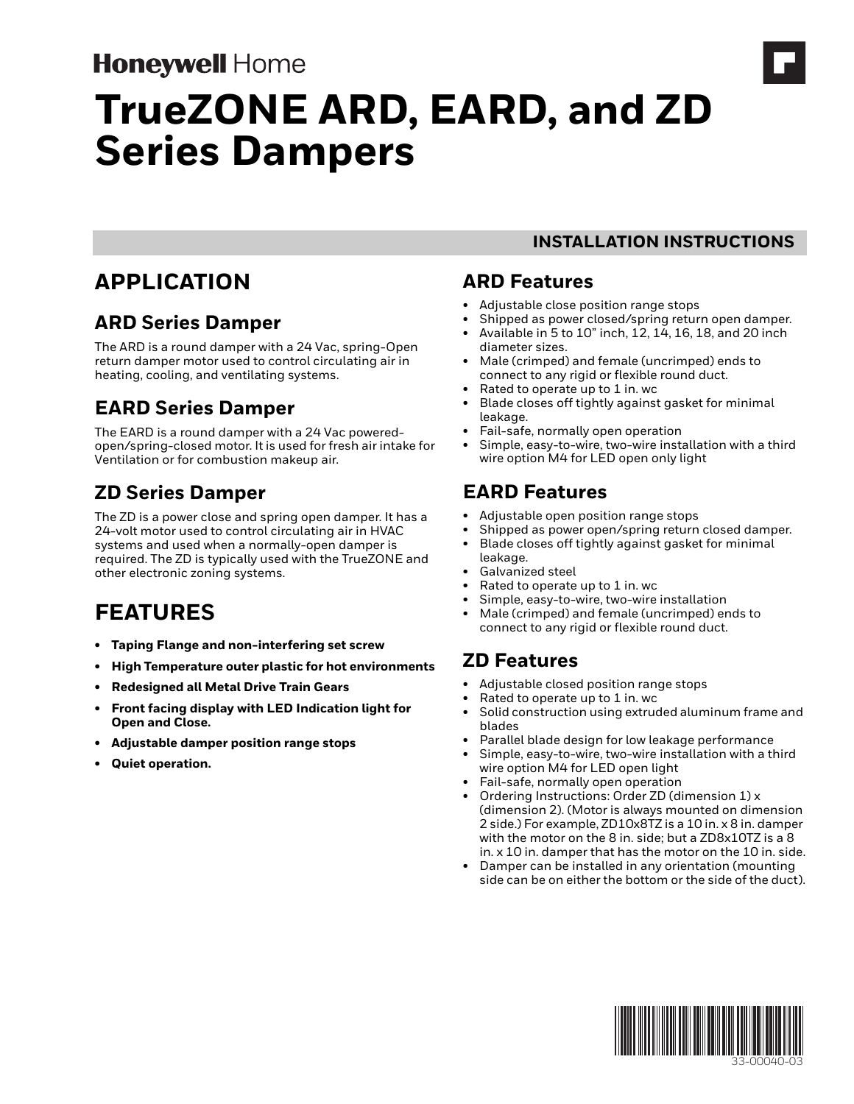# **Honeywell Home**

# **TrueZONE ARD, EARD, and ZD Series Dampers**

# **APPLICATION**

### **ARD Series Damper**

The ARD is a round damper with a 24 Vac, spring-Open return damper motor used to control circulating air in heating, cooling, and ventilating systems.

# **EARD Series Damper**

The EARD is a round damper with a 24 Vac poweredopen/spring-closed motor. It is used for fresh air intake for Ventilation or for combustion makeup air.

# **ZD Series Damper**

The ZD is a power close and spring open damper. It has a 24-volt motor used to control circulating air in HVAC systems and used when a normally-open damper is required. The ZD is typically used with the TrueZONE and other electronic zoning systems.

# **FEATURES**

- **Taping Flange and non-interfering set screw**
- **High Temperature outer plastic for hot environments**
- **Redesigned all Metal Drive Train Gears**
- **Front facing display with LED Indication light for Open and Close.**
- **Adjustable damper position range stops**
- **Quiet operation.**

#### **ARD Features**

- Adjustable close position range stops
- Shipped as power closed/spring return open damper.
- Available in 5 to 10" inch, 12, 14, 16, 18, and 20 inch diameter sizes.

**INSTALLATION INSTRUCTIONS**

- Male (crimped) and female (uncrimped) ends to connect to any rigid or flexible round duct.
- Rated to operate up to 1 in. wc
- Blade closes off tightly against gasket for minimal leakage.
- Fail-safe, normally open operation
- Simple, easy-to-wire, two-wire installation with a third wire option M4 for LED open only light

### **EARD Features**

- Adjustable open position range stops
- Shipped as power open/spring return closed damper. • Blade closes off tightly against gasket for minimal leakage.
- Galvanized steel
- Rated to operate up to 1 in. wc
- Simple, easy-to-wire, two-wire installation
- Male (crimped) and female (uncrimped) ends to connect to any rigid or flexible round duct.

# **ZD Features**

- Adjustable closed position range stops
- Rated to operate up to 1 in. wc
- Solid construction using extruded aluminum frame and blades
- Parallel blade design for low leakage performance
- Simple, easy-to-wire, two-wire installation with a third wire option M4 for LED open light
- Fail-safe, normally open operation
- Ordering Instructions: Order ZD (dimension 1) x (dimension 2). (Motor is always mounted on dimension 2 side.) For example, ZD10x8TZ is a 10 in. x 8 in. damper with the motor on the 8 in. side; but a ZD8x10TZ is a 8 in. x 10 in. damper that has the motor on the 10 in. side.
- Damper can be installed in any orientation (mounting side can be on either the bottom or the side of the duct).

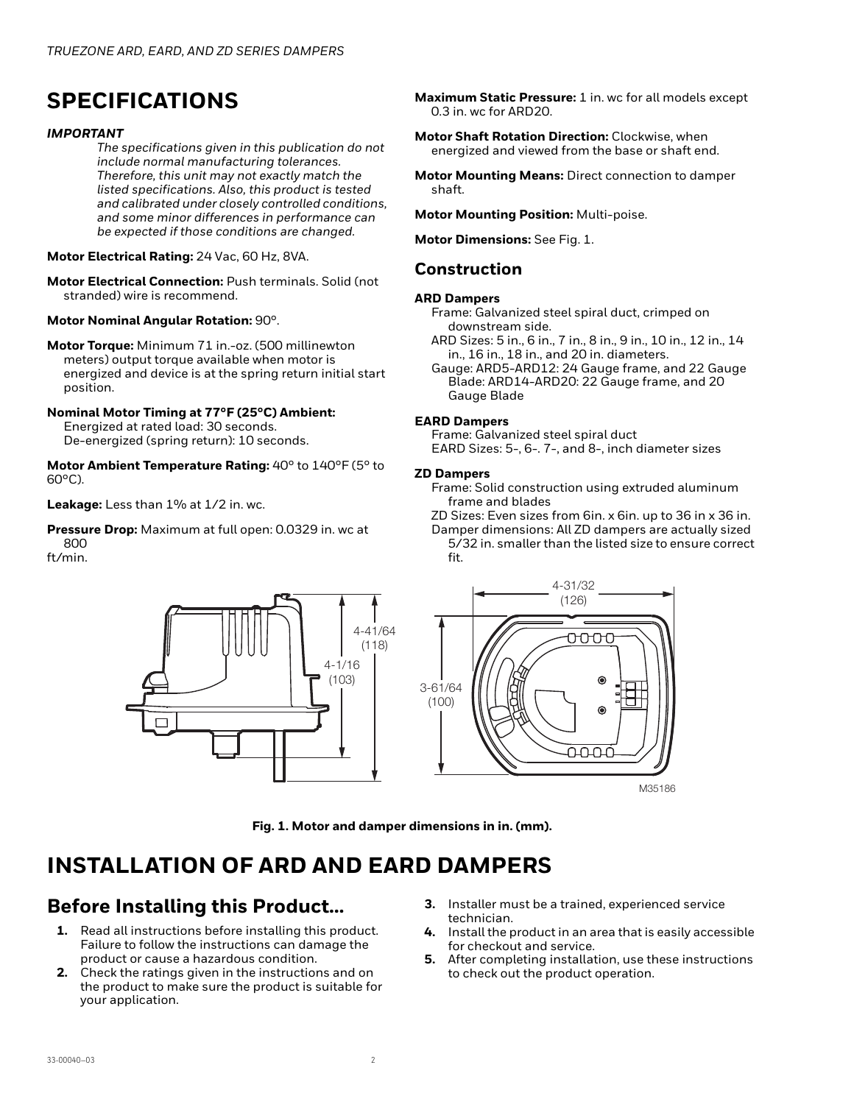# **SPECIFICATIONS**

#### *IMPORTANT*

*The specifications given in this publication do not include normal manufacturing tolerances. Therefore, this unit may not exactly match the listed specifications. Also, this product is tested and calibrated under closely controlled conditions, and some minor differences in performance can be expected if those conditions are changed.*

**Motor Electrical Rating:** 24 Vac, 60 Hz, 8VA.

**Motor Electrical Connection:** Push terminals. Solid (not stranded) wire is recommend.

**Motor Nominal Angular Rotation:** 90°.

**Motor Torque:** Minimum 71 in.-oz. (500 millinewton meters) output torque available when motor is energized and device is at the spring return initial start position.

#### **Nominal Motor Timing at 77°F (25°C) Ambient:**

Energized at rated load: 30 seconds. De-energized (spring return): 10 seconds.

**Motor Ambient Temperature Rating:** 40° to 140°F (5° to 60°C).

Leakage: Less than 1% at 1/2 in. wc.

**Pressure Drop:** Maximum at full open: 0.0329 in. wc at 800

ft/min.



**Maximum Static Pressure:** 1 in. wc for all models except 0.3 in. wc for ARD20.

- **Motor Shaft Rotation Direction:** Clockwise, when energized and viewed from the base or shaft end.
- **Motor Mounting Means:** Direct connection to damper shaft.

**Motor Mounting Position:** Multi-poise.

**Motor Dimensions:** See Fig. 1.

#### **Construction**

#### **ARD Dampers**

- Frame: Galvanized steel spiral duct, crimped on downstream side.
- ARD Sizes: 5 in., 6 in., 7 in., 8 in., 9 in., 10 in., 12 in., 14 in., 16 in., 18 in., and 20 in. diameters.

Gauge: ARD5-ARD12: 24 Gauge frame, and 22 Gauge Blade: ARD14-ARD20: 22 Gauge frame, and 20 Gauge Blade

#### **EARD Dampers**

Frame: Galvanized steel spiral duct EARD Sizes: 5-, 6-. 7-, and 8-, inch diameter sizes

#### **ZD Dampers**

Frame: Solid construction using extruded aluminum frame and blades

- ZD Sizes: Even sizes from 6in. x 6in. up to 36 in x 36 in.
- Damper dimensions: All ZD dampers are actually sized 5/32 in. smaller than the listed size to ensure correct fit.



M35186

**Fig. 1. Motor and damper dimensions in in. (mm).**

# **INSTALLATION OF ARD AND EARD DAMPERS**

### **Before Installing this Product…**

- **1.** Read all instructions before installing this product. Failure to follow the instructions can damage the product or cause a hazardous condition.
- **2.** Check the ratings given in the instructions and on the product to make sure the product is suitable for your application.
- **3.** Installer must be a trained, experienced service technician.
- **4.** Install the product in an area that is easily accessible for checkout and service.
- **5.** After completing installation, use these instructions to check out the product operation.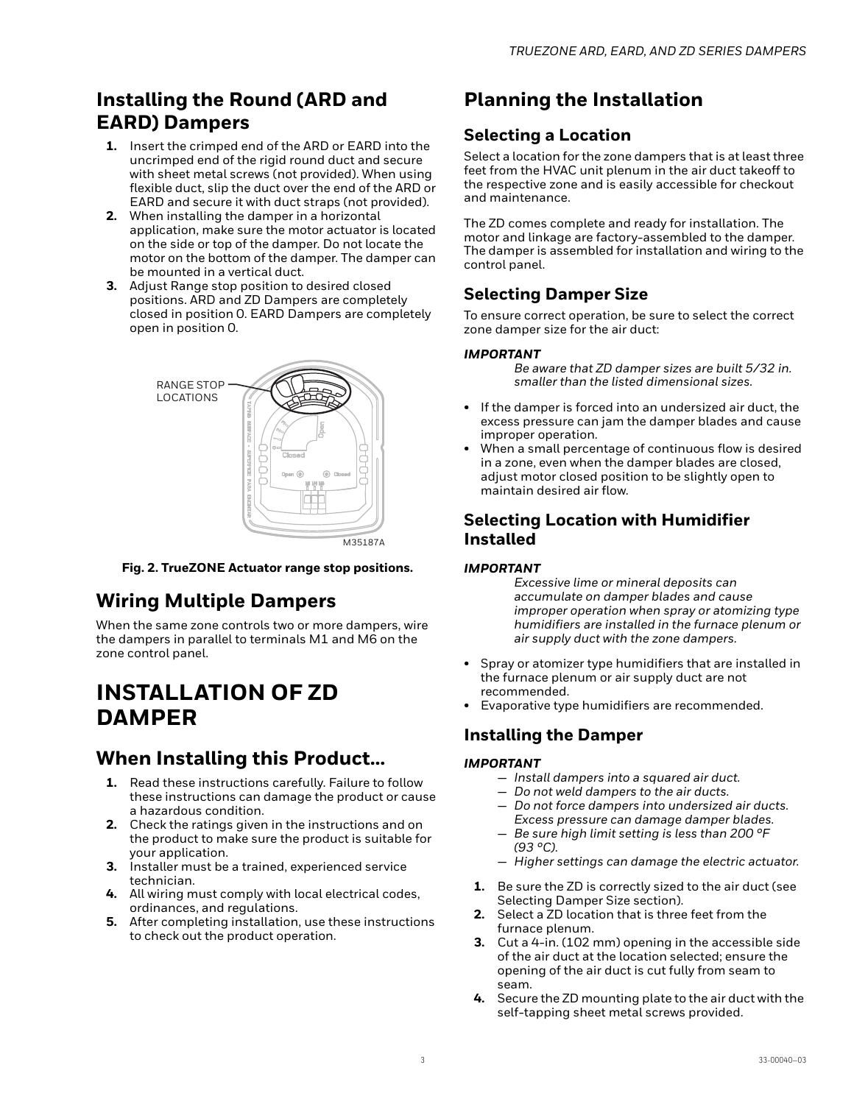### **Installing the Round (ARD and EARD) Dampers**

- **1.** Insert the crimped end of the ARD or EARD into the uncrimped end of the rigid round duct and secure with sheet metal screws (not provided). When using flexible duct, slip the duct over the end of the ARD or EARD and secure it with duct straps (not provided).
- **2.** When installing the damper in a horizontal application, make sure the motor actuator is located on the side or top of the damper. Do not locate the motor on the bottom of the damper. The damper can be mounted in a vertical duct.
- **3.** Adjust Range stop position to desired closed positions. ARD and ZD Dampers are completely closed in position 0. EARD Dampers are completely open in position 0.



**Fig. 2. TrueZONE Actuator range stop positions.**

### **Wiring Multiple Dampers**

When the same zone controls two or more dampers, wire the dampers in parallel to terminals M1 and M6 on the zone control panel.

# **INSTALLATION OF ZD DAMPER**

### **When Installing this Product…**

- **1.** Read these instructions carefully. Failure to follow these instructions can damage the product or cause a hazardous condition.
- **2.** Check the ratings given in the instructions and on the product to make sure the product is suitable for your application.
- **3.** Installer must be a trained, experienced service technician.
- **4.** All wiring must comply with local electrical codes, ordinances, and regulations.
- **5.** After completing installation, use these instructions to check out the product operation.

### **Planning the Installation**

#### **Selecting a Location**

Select a location for the zone dampers that is at least three feet from the HVAC unit plenum in the air duct takeoff to the respective zone and is easily accessible for checkout and maintenance.

The ZD comes complete and ready for installation. The motor and linkage are factory-assembled to the damper. The damper is assembled for installation and wiring to the control panel.

#### **Selecting Damper Size**

To ensure correct operation, be sure to select the correct zone damper size for the air duct:

#### *IMPORTANT*

*Be aware that ZD damper sizes are built 5/32 in. smaller than the listed dimensional sizes.*

- If the damper is forced into an undersized air duct, the excess pressure can jam the damper blades and cause improper operation.
- When a small percentage of continuous flow is desired in a zone, even when the damper blades are closed, adjust motor closed position to be slightly open to maintain desired air flow.

#### **Selecting Location with Humidifier Installed**

#### *IMPORTANT*

*Excessive lime or mineral deposits can accumulate on damper blades and cause improper operation when spray or atomizing type humidifiers are installed in the furnace plenum or air supply duct with the zone dampers.*

- Spray or atomizer type humidifiers that are installed in the furnace plenum or air supply duct are not recommended.
- Evaporative type humidifiers are recommended.

#### **Installing the Damper**

#### *IMPORTANT*

- *Install dampers into a squared air duct.*
- *Do not weld dampers to the air ducts.*
- *Do not force dampers into undersized air ducts. Excess pressure can damage damper blades.*
- *Be sure high limit setting is less than 200 °F (93 °C).*
- *Higher settings can damage the electric actuator.*
- **1.** Be sure the ZD is correctly sized to the air duct (see Selecting Damper Size section).
- **2.** Select a ZD location that is three feet from the furnace plenum.
- **3.** Cut a 4-in. (102 mm) opening in the accessible side of the air duct at the location selected; ensure the opening of the air duct is cut fully from seam to seam.
- **4.** Secure the ZD mounting plate to the air duct with the self-tapping sheet metal screws provided.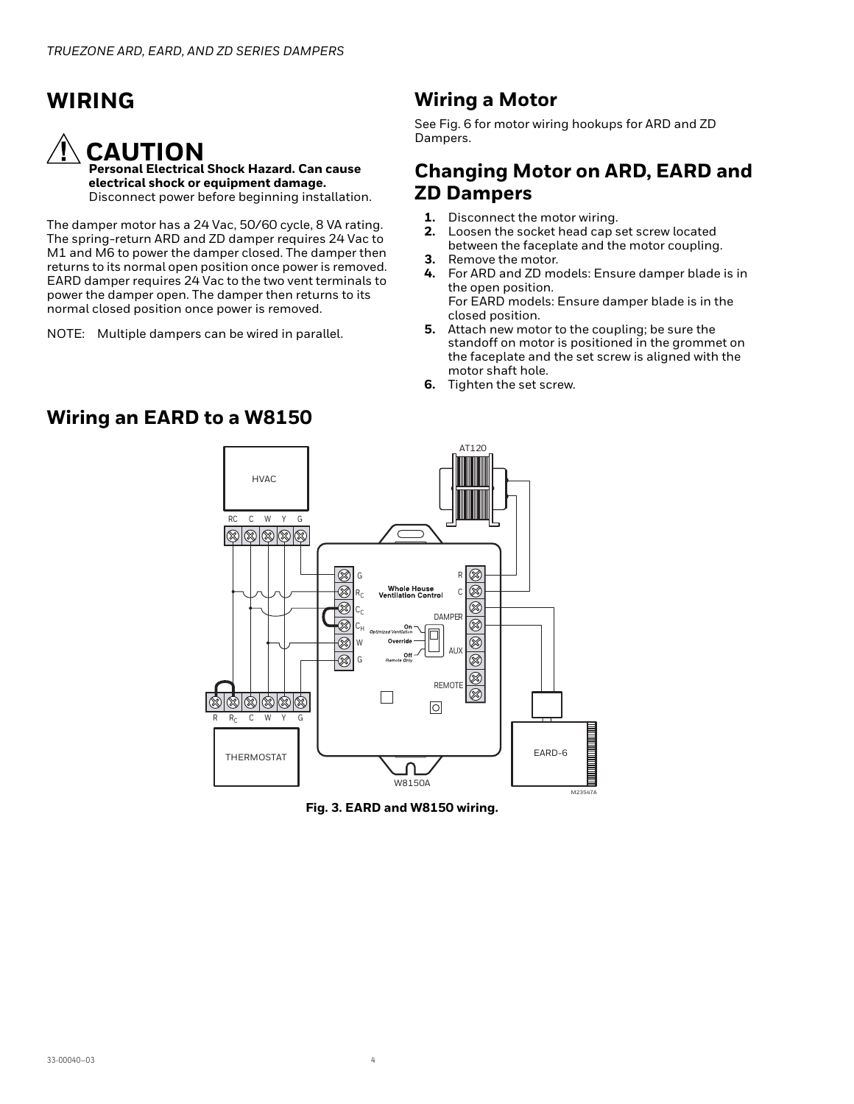# **WIRING**

# **CAUTION**

**Personal Electrical Shock Hazard. Can cause electrical shock or equipment damage.** Disconnect power before beginning installation.

The damper motor has a 24 Vac, 50/60 cycle, 8 VA rating. The spring-return ARD and ZD damper requires 24 Vac to M1 and M6 to power the damper closed. The damper then returns to its normal open position once power is removed. EARD damper requires 24 Vac to the two vent terminals to power the damper open. The damper then returns to its normal closed position once power is removed.

NOTE: Multiple dampers can be wired in parallel.

### **Wiring a Motor**

See Fig. 6 for motor wiring hookups for ARD and ZD Dampers.

#### **Changing Motor on ARD, EARD and ZD Dampers**

- **1.** Disconnect the motor wiring.
- **2.** Loosen the socket head cap set screw located between the faceplate and the motor coupling.
- **3.** Remove the motor.
- **4.** For ARD and ZD models: Ensure damper blade is in the open position. For EARD models: Ensure damper blade is in the
- closed position. **5.** Attach new motor to the coupling; be sure the standoff on motor is positioned in the grommet on the faceplate and the set screw is aligned with the motor shaft hole.
- **6.** Tighten the set screw.



**Fig. 3. EARD and W8150 wiring.**

#### **Wiring an EARD to a W8150**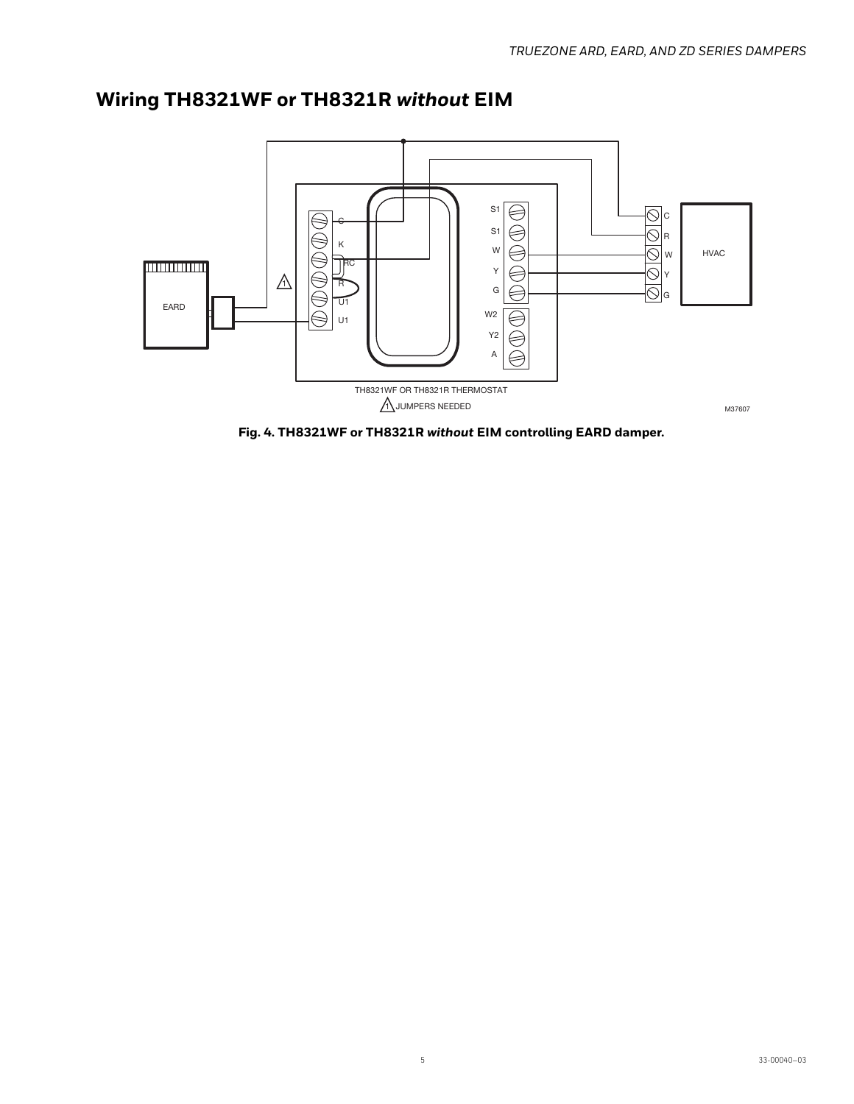

# **Wiring TH8321WF or TH8321R** *without* **EIM**

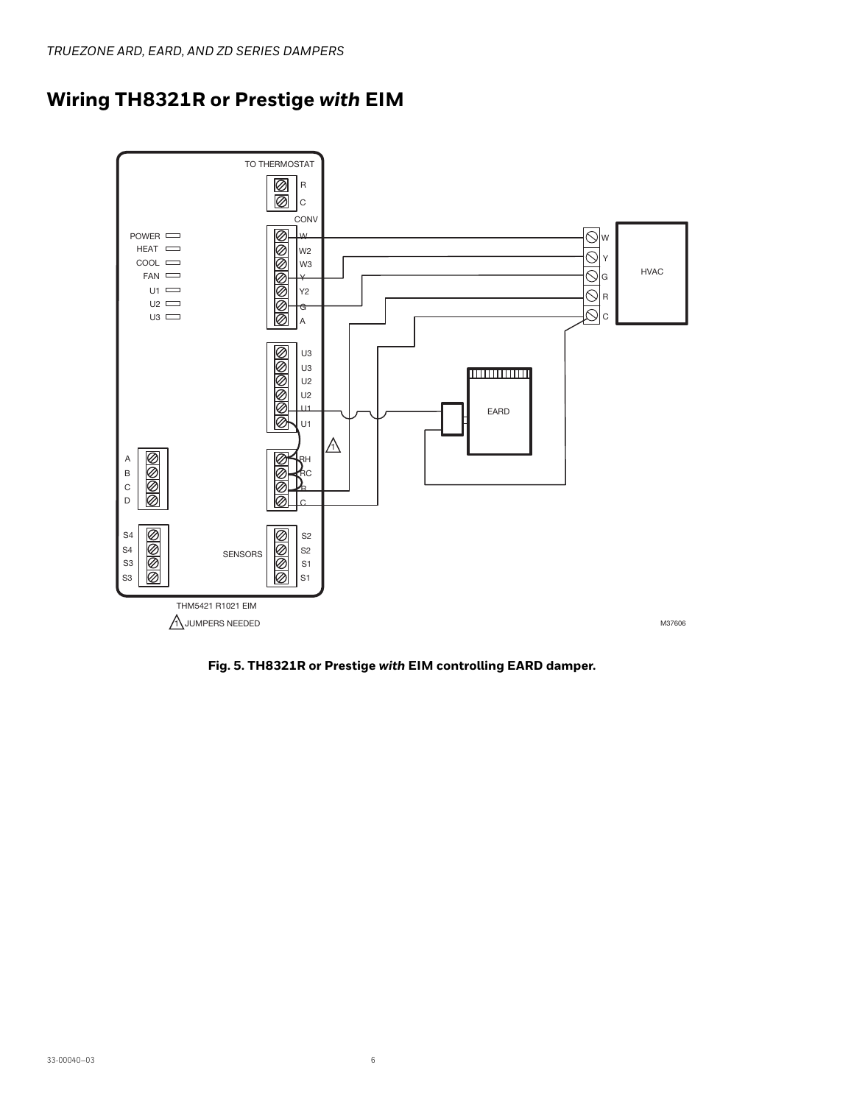



**Fig. 5. TH8321R or Prestige** *with* **EIM controlling EARD damper.**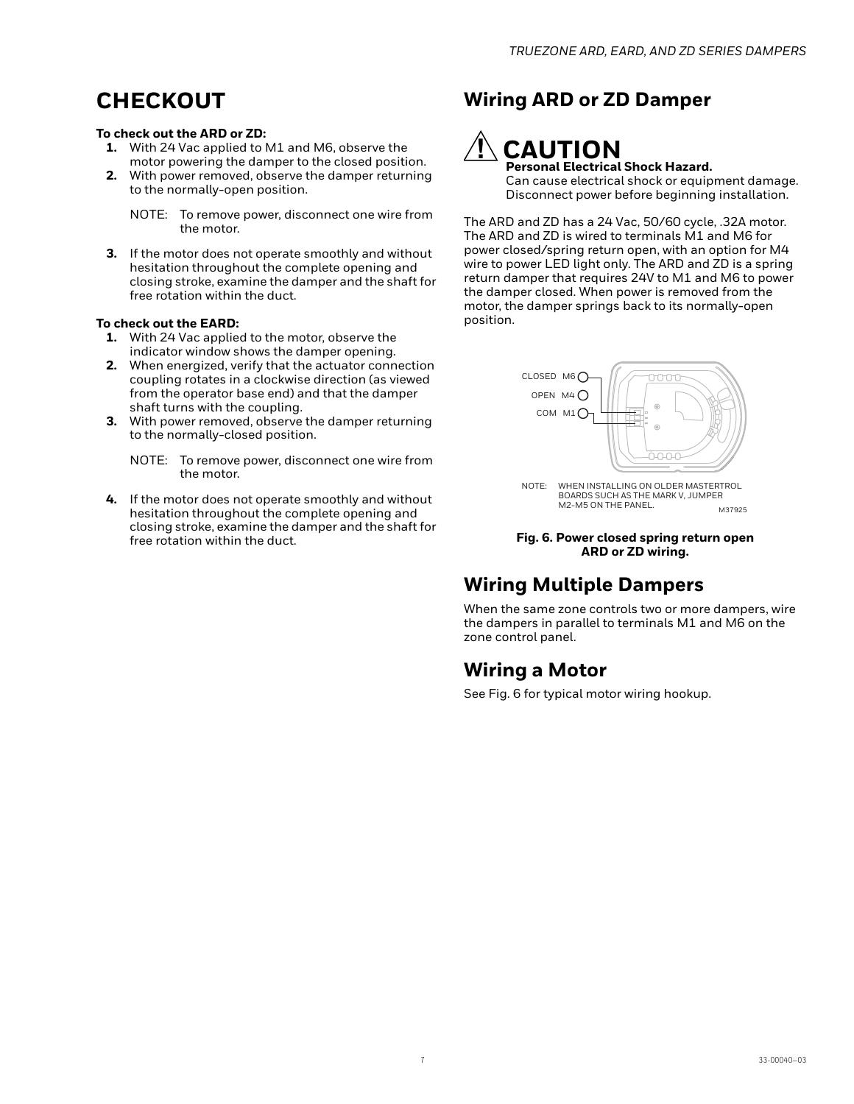# **CHECKOUT**

#### **To check out the ARD or ZD:**

- **1.** With 24 Vac applied to M1 and M6, observe the motor powering the damper to the closed position.
- **2.** With power removed, observe the damper returning to the normally-open position.

**3.** If the motor does not operate smoothly and without hesitation throughout the complete opening and closing stroke, examine the damper and the shaft for free rotation within the duct.

#### **To check out the EARD:**

- **1.** With 24 Vac applied to the motor, observe the indicator window shows the damper opening.
- **2.** When energized, verify that the actuator connection coupling rotates in a clockwise direction (as viewed from the operator base end) and that the damper shaft turns with the coupling.
- **3.** With power removed, observe the damper returning to the normally-closed position.
	- NOTE: To remove power, disconnect one wire from the motor.
- **4.** If the motor does not operate smoothly and without hesitation throughout the complete opening and closing stroke, examine the damper and the shaft for free rotation within the duct.

### **Wiring ARD or ZD Damper**

### **CAUTION Personal Electrical Shock Hazard.**

Can cause electrical shock or equipment damage. Disconnect power before beginning installation.

The ARD and ZD has a 24 Vac, 50/60 cycle, .32A motor. The ARD and ZD is wired to terminals M1 and M6 for power closed/spring return open, with an option for M4 wire to power LED light only. The ARD and ZD is a spring return damper that requires 24V to M1 and M6 to power the damper closed. When power is removed from the motor, the damper springs back to its normally-open position.



M37925 NOTE: WHEN INSTALLING ON OLDER MASTERTROL BOARDS SUCH AS THE MARK V, JUMPER M2-M5 ON THE PANEL.

#### **Fig. 6. Power closed spring return open ARD or ZD wiring.**

### **Wiring Multiple Dampers**

When the same zone controls two or more dampers, wire the dampers in parallel to terminals M1 and M6 on the zone control panel.

### **Wiring a Motor**

See Fig. 6 for typical motor wiring hookup.

NOTE: To remove power, disconnect one wire from the motor.